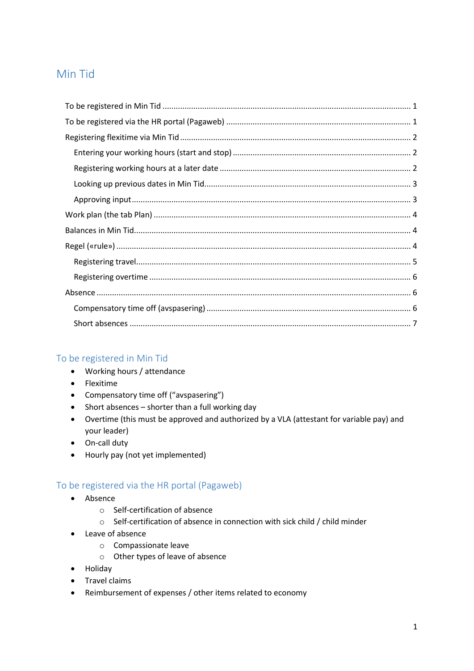# Min Tid

## <span id="page-0-0"></span>To be registered in Min Tid

- Working hours / attendance
- Flexitime
- Compensatory time off ("avspasering")
- Short absences shorter than a full working day
- Overtime (this must be approved and authorized by a VLA (attestant for variable pay) and your leader)
- On-call duty
- Hourly pay (not yet implemented)

## <span id="page-0-1"></span>To be registered via the HR portal (Pagaweb)

- Absence
	- o Self-certification of absence
	- o Self-certification of absence in connection with sick child / child minder
- Leave of absence
	- o Compassionate leave
	- o Other types of leave of absence
- Holiday
- **•** Travel claims
- Reimbursement of expenses / other items related to economy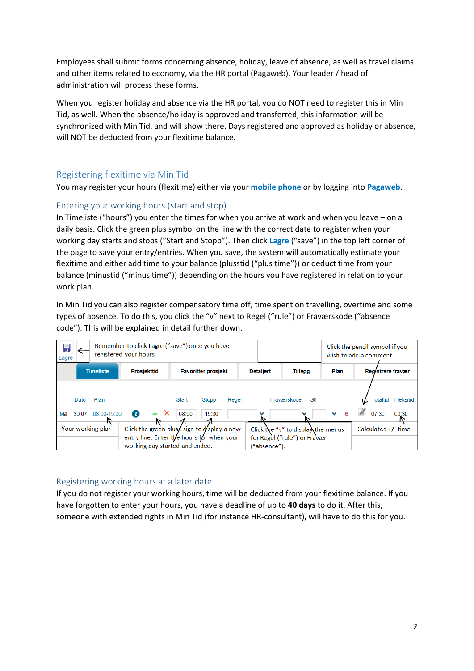Employees shall submit forms concerning absence, holiday, leave of absence, as well as travel claims and other items related to economy, via the HR portal (Pagaweb). Your leader / head of administration will process these forms.

When you register holiday and absence via the HR portal, you do NOT need to register this in Min Tid, as well. When the absence/holiday is approved and transferred, this information will be synchronized with Min Tid, and will show there. Days registered and approved as holiday or absence, will NOT be deducted from your flexitime balance.

## <span id="page-1-0"></span>Registering flexitime via Min Tid

You may register your hours (flexitime) either via your **mobile phone** or by logging into **Pagaweb**.

## <span id="page-1-1"></span>Entering your working hours (start and stop)

In Timeliste ("hours") you enter the times for when you arrive at work and when you leave – on a daily basis. Click the green plus symbol on the line with the correct date to register when your working day starts and stops ("Start and Stopp"). Then click **Lagre** ("save") in the top left corner of the page to save your entry/entries. When you save, the system will automatically estimate your flexitime and either add time to your balance (plusstid ("plus time")) or deduct time from your balance (minustid ("minus time")) depending on the hours you have registered in relation to your work plan.

In Min Tid you can also register compensatory time off, time spent on travelling, overtime and some types of absence. To do this, you click the "v" next to Regel ("rule") or Fraværskode ("absence code"). This will be explained in detail further down.

| Ы<br>Lagre                                                                               |       |               | registered your hours          | Remember to click Lagre ("save") once you have |              | Click the pencil symbol if you<br>wish to add a comment |                       |                              |  |  |  |  |
|------------------------------------------------------------------------------------------|-------|---------------|--------------------------------|------------------------------------------------|--------------|---------------------------------------------------------|-----------------------|------------------------------|--|--|--|--|
| <b>Timeliste</b><br><b>Prosjekttid</b><br><b>Favoritter prosjekt</b><br><b>Detaljert</b> |       |               |                                |                                                |              | <b>Tillegg</b>                                          | Plan                  | Realstrere fravær            |  |  |  |  |
|                                                                                          | Dato  | Plan          |                                | Start<br>Regel<br>Stopp                        |              | Fraværskode<br>Stl                                      |                       | <b>Totaltid</b><br>Fleksitid |  |  |  |  |
| Ма                                                                                       | 30.07 | $08:00-15:00$ | $\times$<br>$\mathbf{t}$       | 08:00<br>15:30                                 |              |                                                         | e<br>v                | 07:30<br>₽<br>00:30          |  |  |  |  |
| Your working plan                                                                        |       |               |                                | Click the green plus≰ sign to display a new    |              | Click the "v" to displanthe menus                       | Calculated $+/-$ time |                              |  |  |  |  |
|                                                                                          |       |               | working day started and ended. | entry line. Enter the hours for when your      | ("absence"). | for Regel ("rule") or Fravær                            |                       |                              |  |  |  |  |

## <span id="page-1-2"></span>Registering working hours at a later date

If you do not register your working hours, time will be deducted from your flexitime balance. If you have forgotten to enter your hours, you have a deadline of up to **40 days** to do it. After this, someone with extended rights in Min Tid (for instance HR-consultant), will have to do this for you.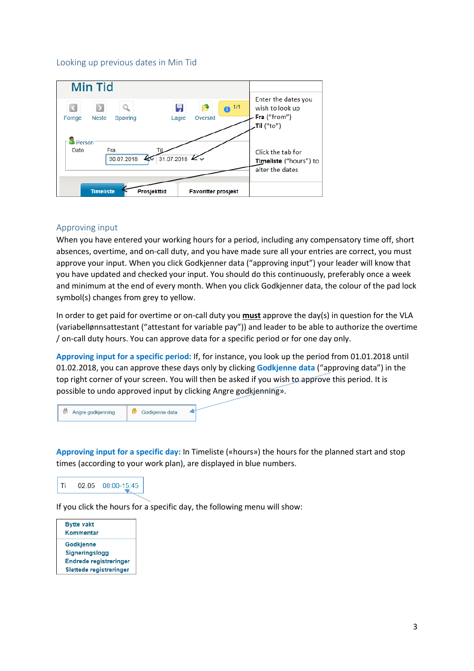#### <span id="page-2-0"></span>Looking up previous dates in Min Tid



### <span id="page-2-1"></span>Approving input

When you have entered your working hours for a period, including any compensatory time off, short absences, overtime, and on-call duty, and you have made sure all your entries are correct, you must approve your input. When you click Godkjenner data ("approving input") your leader will know that you have updated and checked your input. You should do this continuously, preferably once a week and minimum at the end of every month. When you click Godkjenner data, the colour of the pad lock symbol(s) changes from grey to yellow.

In order to get paid for overtime or on-call duty you **must** approve the day(s) in question for the VLA (variabellønnsattestant ("attestant for variable pay")) and leader to be able to authorize the overtime / on-call duty hours. You can approve data for a specific period or for one day only.

**Approving input for a specific period:** If, for instance, you look up the period from 01.01.2018 until 01.02.2018, you can approve these days only by clicking **Godkjenne data** ("approving data") in the top right corner of your screen. You will then be asked if you wish to approve this period. It is possible to undo approved input by clicking Angre godkjenning».



**Approving input for a specific day:** In Timeliste («hours») the hours for the planned start and stop times (according to your work plan), are displayed in blue numbers.



If you click the hours for a specific day, the following menu will show:

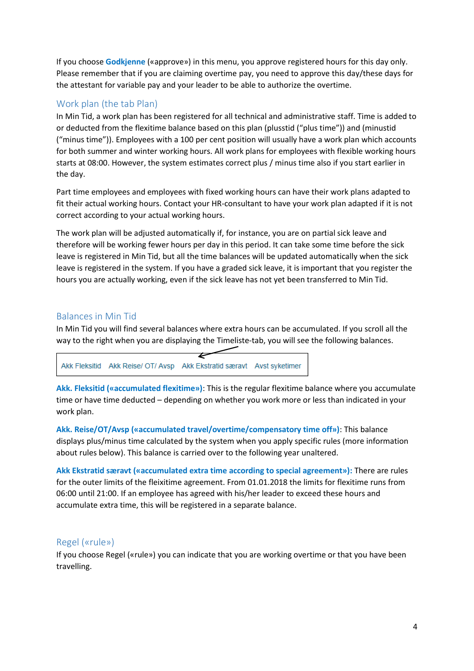If you choose **Godkjenne** («approve») in this menu, you approve registered hours for this day only. Please remember that if you are claiming overtime pay, you need to approve this day/these days for the attestant for variable pay and your leader to be able to authorize the overtime.

## <span id="page-3-0"></span>Work plan (the tab Plan)

In Min Tid, a work plan has been registered for all technical and administrative staff. Time is added to or deducted from the flexitime balance based on this plan (plusstid ("plus time")) and (minustid ("minus time")). Employees with a 100 per cent position will usually have a work plan which accounts for both summer and winter working hours. All work plans for employees with flexible working hours starts at 08:00. However, the system estimates correct plus / minus time also if you start earlier in the day.

Part time employees and employees with fixed working hours can have their work plans adapted to fit their actual working hours. Contact your HR-consultant to have your work plan adapted if it is not correct according to your actual working hours.

The work plan will be adjusted automatically if, for instance, you are on partial sick leave and therefore will be working fewer hours per day in this period. It can take some time before the sick leave is registered in Min Tid, but all the time balances will be updated automatically when the sick leave is registered in the system. If you have a graded sick leave, it is important that you register the hours you are actually working, even if the sick leave has not yet been transferred to Min Tid.

## <span id="page-3-1"></span>Balances in Min Tid

In Min Tid you will find several balances where extra hours can be accumulated. If you scroll all the way to the right when you are displaying the Timeliste-tab, you will see the following balances.



**Akk. Fleksitid («accumulated flexitime»)**: This is the regular flexitime balance where you accumulate time or have time deducted – depending on whether you work more or less than indicated in your work plan.

**Akk. Reise/OT/Avsp («accumulated travel/overtime/compensatory time off»)**: This balance displays plus/minus time calculated by the system when you apply specific rules (more information about rules below). This balance is carried over to the following year unaltered.

**Akk Ekstratid særavt («accumulated extra time according to special agreement»):** There are rules for the outer limits of the fleixitime agreement. From 01.01.2018 the limits for flexitime runs from 06:00 until 21:00. If an employee has agreed with his/her leader to exceed these hours and accumulate extra time, this will be registered in a separate balance.

## <span id="page-3-2"></span>Regel («rule»)

If you choose Regel («rule») you can indicate that you are working overtime or that you have been travelling.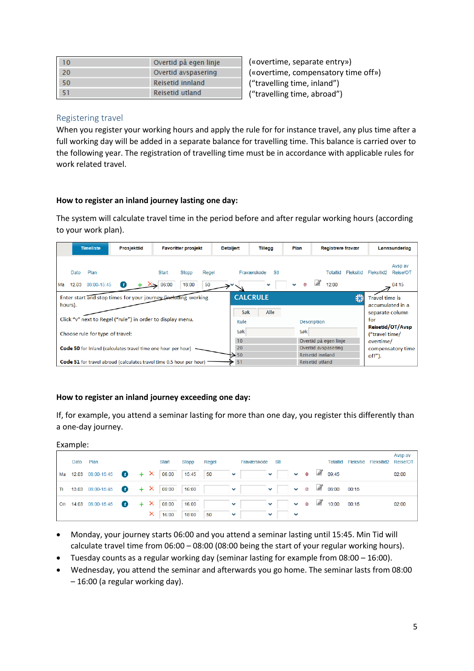| $\Omega$ | Overtid på egen linje |
|----------|-----------------------|
| 20       | Overtid avspasering   |
| 50       | Reisetid innland      |
|          | Reisetid utland       |

(«overtime, separate entry») («overtime, compensatory time off») ("travelling time, inland") ("travelling time, abroad")

### <span id="page-4-0"></span>Registering travel

When you register your working hours and apply the rule for for instance travel, any plus time after a full working day will be added in a separate balance for travelling time. This balance is carried over to the following year. The registration of travelling time must be in accordance with applicable rules for work related travel.

### **How to register an inland journey lasting one day:**

The system will calculate travel time in the period before and after regular working hours (according to your work plan).

|         | <b>Timeliste</b><br>Prosjekttid<br><b>Favoritter prosjekt</b><br><b>Detaljert</b> |                                                                      |                                                                             |                | Tillegg                 | Plan            | Registrere fravær                                                | Lønnsunderlag                                                       |  |  |
|---------|-----------------------------------------------------------------------------------|----------------------------------------------------------------------|-----------------------------------------------------------------------------|----------------|-------------------------|-----------------|------------------------------------------------------------------|---------------------------------------------------------------------|--|--|
| Ma      | Plan<br>Dato<br>08:00-15:45<br>12.03                                              | ( f)                                                                 | <b>Start</b><br>Stopp<br>Regel<br>06:00<br>18:00<br>50                      |                | Stl<br>Fraværskode      | е               | <b>Totaltid</b><br>Fleksitid<br>12:00                            | Avsp av<br>Reise/OT<br>Fleksitid2<br>04:15                          |  |  |
| hours). |                                                                                   | Click "v" next to Regel ("rule") in order to display menu.           | Enter start and stop times for your journey (including working              | Søk<br>Rule    | <b>CALCRULE</b><br>Alle |                 | ø<br><b>Description</b>                                          | <b>Travel time is</b><br>accumulated in a<br>separate column<br>for |  |  |
|         | Choose rule for type of travel:                                                   |                                                                      |                                                                             | Søk            |                         | Søk             |                                                                  | Reisetid/OT/Avsp<br>("travel time/                                  |  |  |
|         |                                                                                   | <b>Code 50</b> for inland (calculates travel time one hour per hour) |                                                                             | 10<br>20<br>50 |                         |                 | Overtid på egen linje<br>Overtid avspasering<br>Reisetid innland | overtime/<br>compensatory time<br>off").                            |  |  |
|         |                                                                                   |                                                                      | <b>Code 51</b> for travel abroad (calculates travel time 0,5 hour per hour) | 51             |                         | Reisetid utland |                                                                  |                                                                     |  |  |

### **How to register an inland journey exceeding one day:**

If, for example, you attend a seminar lasting for more than one day, you register this differently than a one-day journey.

| Example: |  |  |
|----------|--|--|
|          |  |  |

|    | Dato Plan |                                                    |  | Start             | Stopp | Regel                |                                                                                                                                | Fraværskode Stl |              |  |                                           | Totaltid Fleksitid Fleksitid2 Reise/OT | Avsp av |
|----|-----------|----------------------------------------------------|--|-------------------|-------|----------------------|--------------------------------------------------------------------------------------------------------------------------------|-----------------|--------------|--|-------------------------------------------|----------------------------------------|---------|
| Ма |           | 12.03 08:00-15:45 $\bullet$ + $\times$ 06:00 15:45 |  |                   |       |                      | $50 \quad \vee \quad \vee \quad \vee \quad \circ \quad \circ$ 09:45                                                            |                 |              |  |                                           |                                        | 02:00   |
| Τi |           |                                                    |  |                   |       |                      | 13.03 08:00-15:45 $\bullet$ + $\times$ 08:00 16:00 $\bullet$ $\bullet$ $\bullet$ $\bullet$ $\bullet$ $\bullet$ 6 6 68:00 00:15 |                 |              |  |                                           |                                        |         |
|    |           | On 14.03 08:00-15:45                               |  | $+ X 08:00 16:00$ |       | <b>Service State</b> | <b>Service State</b>                                                                                                           |                 |              |  | $\rightarrow$ e $\rightarrow$ 10:00 00:15 |                                        | 02:00   |
|    |           |                                                    |  | $\times$ 16:00    | 18:00 | 50                   | $\sim$ $\sim$                                                                                                                  | $\checkmark$    | $\checkmark$ |  |                                           |                                        |         |

- Monday, your journey starts 06:00 and you attend a seminar lasting until 15:45. Min Tid will calculate travel time from 06:00 – 08:00 (08:00 being the start of your regular working hours).
- Tuesday counts as a regular working day (seminar lasting for example from 08:00 16:00).
- Wednesday, you attend the seminar and afterwards you go home. The seminar lasts from 08:00 – 16:00 (a regular working day).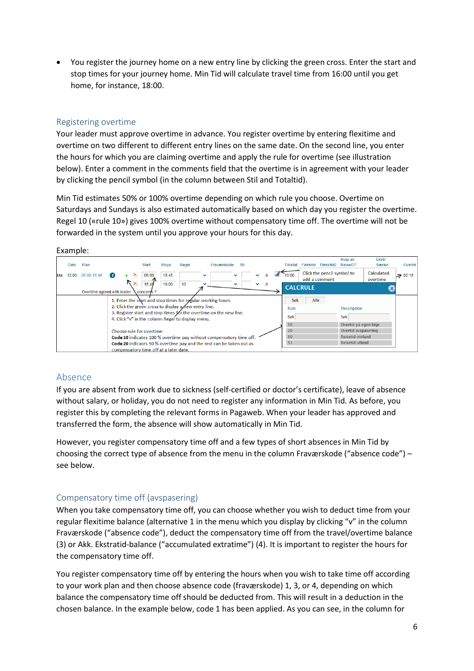You register the journey home on a new entry line by clicking the green cross. Enter the start and stop times for your journey home. Min Tid will calculate travel time from 16:00 until you get home, for instance, 18:00.

### <span id="page-5-0"></span>Registering overtime

Your leader must approve overtime in advance. You register overtime by entering flexitime and overtime on two different to different entry lines on the same date. On the second line, you enter the hours for which you are claiming overtime and apply the rule for overtime (see illustration below). Enter a comment in the comments field that the overtime is in agreement with your leader by clicking the pencil symbol (in the column between Stil and Totaltid).

Min Tid estimates 50% or 100% overtime depending on which rule you choose. Overtime on Saturdays and Sundays is also estimated automatically based on which day you register the overtime. Regel 10 («rule 10») gives 100% overtime without compensatory time off. The overtime will not be forwarded in the system until you approve your hours for this day.

#### Example:



## <span id="page-5-1"></span>Absence

If you are absent from work due to sickness (self-certified or doctor's certificate), leave of absence without salary, or holiday, you do not need to register any information in Min Tid. As before, you register this by completing the relevant forms in Pagaweb. When your leader has approved and transferred the form, the absence will show automatically in Min Tid.

However, you register compensatory time off and a few types of short absences in Min Tid by choosing the correct type of absence from the menu in the column Fraværskode ("absence code") – see below.

## <span id="page-5-2"></span>Compensatory time off (avspasering)

When you take compensatory time off, you can choose whether you wish to deduct time from your regular flexitime balance (alternative 1 in the menu which you display by clicking "v" in the column Fraværskode ("absence code"), deduct the compensatory time off from the travel/overtime balance (3) or Akk. Ekstratid-balance ("accumulated extratime") (4). It is important to register the hours for the compensatory time off.

You register compensatory time off by entering the hours when you wish to take time off according to your work plan and then choose absence code (fraværskode) 1, 3, or 4, depending on which balance the compensatory time off should be deducted from. This will result in a deduction in the chosen balance. In the example below, code 1 has been applied. As you can see, in the column for